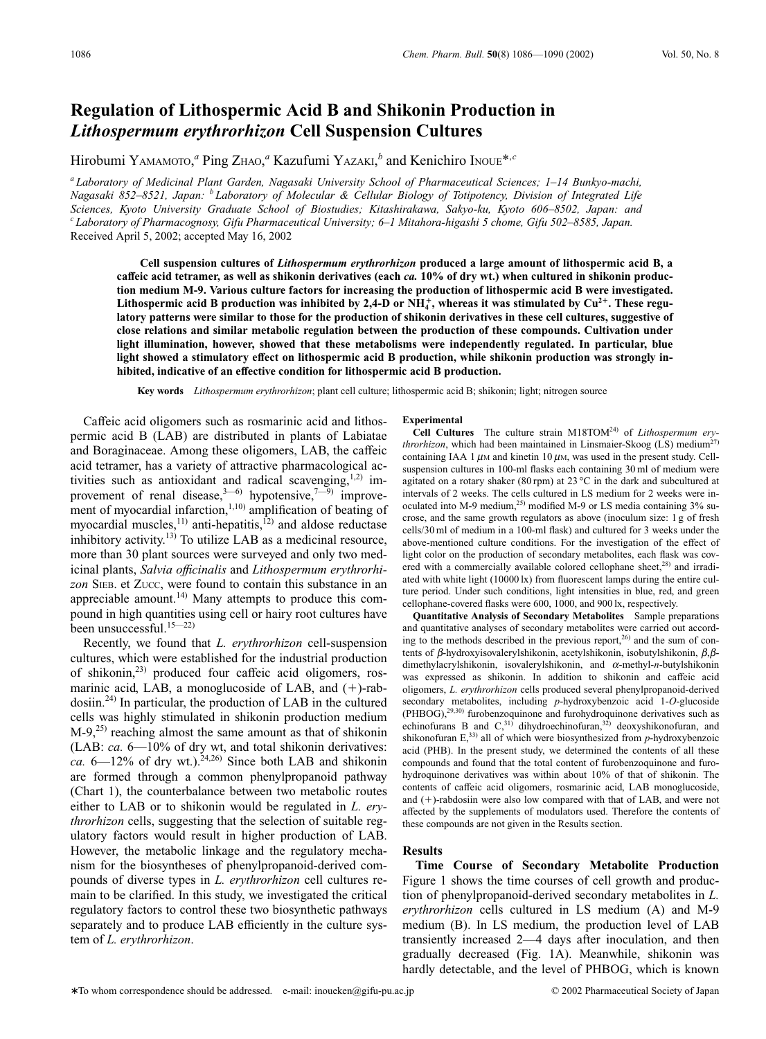# **Regulation of Lithospermic Acid B and Shikonin Production in** *Lithospermum erythrorhizon* **Cell Suspension Cultures**

Hirobumi YAMAMOTO, *<sup>a</sup>* Ping ZHAO, *<sup>a</sup>* Kazufumi YAZAKI, *<sup>b</sup>* and Kenichiro INOUE\*,*<sup>c</sup>*

*<sup>a</sup> Laboratory of Medicinal Plant Garden, Nagasaki University School of Pharmaceutical Sciences; 1–14 Bunkyo-machi, Nagasaki 852–8521, Japan: <sup>b</sup> Laboratory of Molecular & Cellular Biology of Totipotency, Division of Integrated Life Sciences, Kyoto University Graduate School of Biostudies; Kitashirakawa, Sakyo-ku, Kyoto 606–8502, Japan: and <sup>c</sup> Laboratory of Pharmacognosy, Gifu Pharmaceutical University; 6–1 Mitahora-higashi 5 chome, Gifu 502–8585, Japan.* Received April 5, 2002; accepted May 16, 2002

**Cell suspension cultures of** *Lithospermum erythrorhizon* **produced a large amount of lithospermic acid B, a caffeic acid tetramer, as well as shikonin derivatives (each** *ca.* **10% of dry wt.) when cultured in shikonin production medium M-9. Various culture factors for increasing the production of lithospermic acid B were investigated.** Lithospermic acid **B** production was inhibited by 2,4-D or  $NH_4^+$ , whereas it was stimulated by  $Cu^{2+}$ . These regu**latory patterns were similar to those for the production of shikonin derivatives in these cell cultures, suggestive of close relations and similar metabolic regulation between the production of these compounds. Cultivation under light illumination, however, showed that these metabolisms were independently regulated. In particular, blue light showed a stimulatory effect on lithospermic acid B production, while shikonin production was strongly inhibited, indicative of an effective condition for lithospermic acid B production.**

**Key words** *Lithospermum erythrorhizon*; plant cell culture; lithospermic acid B; shikonin; light; nitrogen source

Caffeic acid oligomers such as rosmarinic acid and lithospermic acid B (LAB) are distributed in plants of Labiatae and Boraginaceae. Among these oligomers, LAB, the caffeic acid tetramer, has a variety of attractive pharmacological activities such as antioxidant and radical scavenging, $1,2$ ) improvement of renal disease,  $3-6$ ) hypotensive,  $7-9$ ) improvement of myocardial infarction,<sup>1,10)</sup> amplification of beating of myocardial muscles,<sup>11)</sup> anti-hepatitis,<sup>12)</sup> and aldose reductase inhibitory activity.<sup>13)</sup> To utilize LAB as a medicinal resource, more than 30 plant sources were surveyed and only two medicinal plants, *Salvia officinalis* and *Lithospermum erythrorhizon* SIEB. et ZUCC, were found to contain this substance in an appreciable amount.<sup>14)</sup> Many attempts to produce this compound in high quantities using cell or hairy root cultures have been unsuccessful.15—22)

Recently, we found that *L. erythrorhizon* cell-suspension cultures, which were established for the industrial production of shikonin,23) produced four caffeic acid oligomers, rosmarinic acid, LAB, a monoglucoside of LAB, and  $(+)$ -rab- $\Delta$ dosiin.<sup>24)</sup> In particular, the production of LAB in the cultured cells was highly stimulated in shikonin production medium  $M-9<sup>25</sup>$  reaching almost the same amount as that of shikonin (LAB: *ca.* 6—10% of dry wt, and total shikonin derivatives:  $ca. 6-12\%$  of dry wt.).<sup>24,26)</sup> Since both LAB and shikonin are formed through a common phenylpropanoid pathway (Chart 1), the counterbalance between two metabolic routes either to LAB or to shikonin would be regulated in *L. erythrorhizon* cells, suggesting that the selection of suitable regulatory factors would result in higher production of LAB. However, the metabolic linkage and the regulatory mechanism for the biosyntheses of phenylpropanoid-derived compounds of diverse types in *L. erythrorhizon* cell cultures remain to be clarified. In this study, we investigated the critical regulatory factors to control these two biosynthetic pathways separately and to produce LAB efficiently in the culture system of *L. erythrorhizon*.

### **Experimental**

Cell Cultures The culture strain M18TOM<sup>24)</sup> of *Lithospermum ervthrorhizon*, which had been maintained in Linsmaier-Skoog  $(LS)$  medium<sup>27)</sup> containing IAA 1  $\mu$ M and kinetin 10  $\mu$ M, was used in the present study. Cellsuspension cultures in 100-ml flasks each containing 30 ml of medium were agitated on a rotary shaker (80 rpm) at 23 °C in the dark and subcultured at intervals of 2 weeks. The cells cultured in LS medium for 2 weeks were inoculated into M-9 medium, $^{25)}$  modified M-9 or LS media containing 3% sucrose, and the same growth regulators as above (inoculum size: 1 g of fresh cells/30 ml of medium in a 100-ml flask) and cultured for 3 weeks under the above-mentioned culture conditions. For the investigation of the effect of light color on the production of secondary metabolites, each flask was covered with a commercially available colored cellophane sheet, $^{28}$  and irradiated with white light (10000 lx) from fluorescent lamps during the entire culture period. Under such conditions, light intensities in blue, red, and green cellophane-covered flasks were 600, 1000, and 900 lx, respectively.

**Quantitative Analysis of Secondary Metabolites** Sample preparations and quantitative analyses of secondary metabolites were carried out according to the methods described in the previous report,<sup>26)</sup> and the sum of contents of  $\beta$ -hydroxyisovalerylshikonin, acetylshikonin, isobutylshikonin,  $\beta, \beta$ dimethylacrylshikonin, isovalerylshikonin, and α-methyl-*n*-butylshikonin was expressed as shikonin. In addition to shikonin and caffeic acid oligomers, *L. erythrorhizon* cells produced several phenylpropanoid-derived secondary metabolites, including *p*-hydroxybenzoic acid 1-*O*-glucoside  $(PHBOG)$ ,<sup>29,30)</sup> furobenzoquinone and furohydroquinone derivatives such as echinofurans B and  $C_1^{31}$ , dihydroechinofuran,<sup>32)</sup> deoxyshikonofuran, and shikonofuran  $E<sub>1</sub><sup>33)</sup>$  all of which were biosynthesized from *p*-hydroxybenzoic acid (PHB). In the present study, we determined the contents of all these compounds and found that the total content of furobenzoquinone and furohydroquinone derivatives was within about 10% of that of shikonin. The contents of caffeic acid oligomers, rosmarinic acid, LAB monoglucoside, and  $(+)$ -rabdosiin were also low compared with that of LAB, and were not affected by the supplements of modulators used. Therefore the contents of these compounds are not given in the Results section.

## **Results**

**Time Course of Secondary Metabolite Production** Figure 1 shows the time courses of cell growth and production of phenylpropanoid-derived secondary metabolites in *L. erythrorhizon* cells cultured in LS medium (A) and M-9 medium (B). In LS medium, the production level of LAB transiently increased 2—4 days after inoculation, and then gradually decreased (Fig. 1A). Meanwhile, shikonin was hardly detectable, and the level of PHBOG, which is known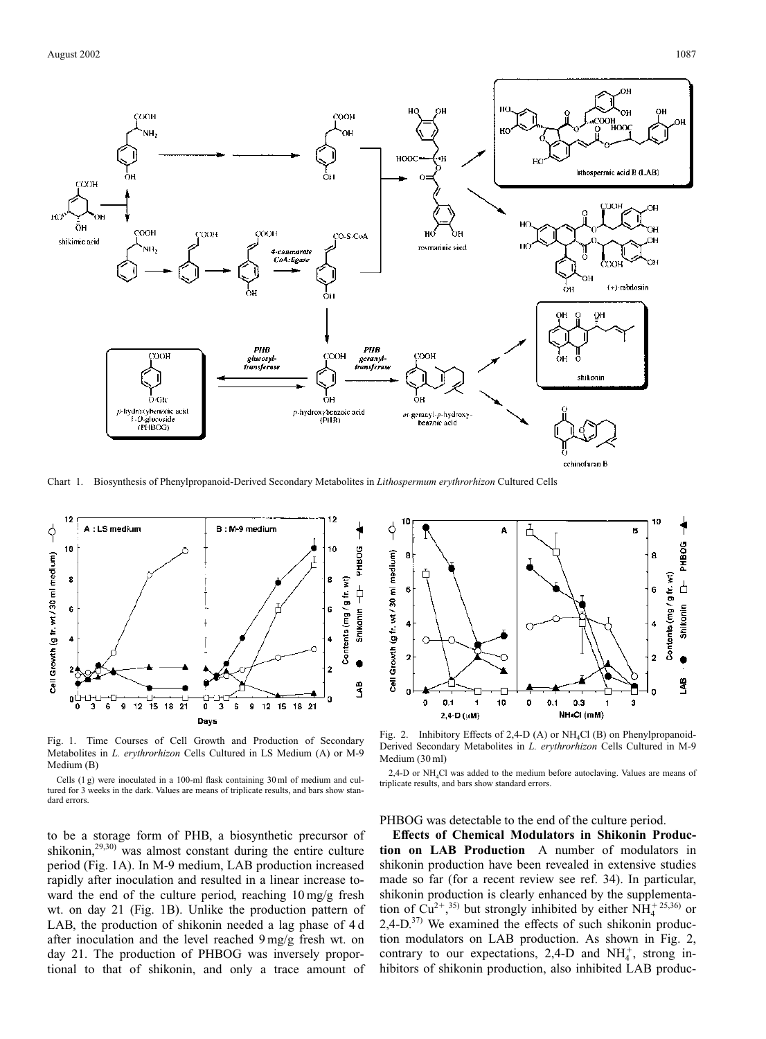

Chart 1. Biosynthesis of Phenylpropanoid-Derived Secondary Metabolites in *Lithospermum erythrorhizon* Cultured Cells



Fig. 1. Time Courses of Cell Growth and Production of Secondary Metabolites in *L. erythrorhizon* Cells Cultured in LS Medium (A) or M-9 Medium (B)

Cells (1 g) were inoculated in a 100-ml flask containing 30 ml of medium and cultured for 3 weeks in the dark. Values are means of triplicate results, and bars show standard errors.

to be a storage form of PHB, a biosynthetic precursor of shikonin, $29,30)$  was almost constant during the entire culture period (Fig. 1A). In M-9 medium, LAB production increased rapidly after inoculation and resulted in a linear increase toward the end of the culture period, reaching 10 mg/g fresh wt. on day 21 (Fig. 1B). Unlike the production pattern of LAB, the production of shikonin needed a lag phase of 4 d after inoculation and the level reached 9 mg/g fresh wt. on day 21. The production of PHBOG was inversely proportional to that of shikonin, and only a trace amount of



Fig. 2. Inhibitory Effects of 2,4-D (A) or  $NH<sub>4</sub>Cl$  (B) on Phenylpropanoid-Derived Secondary Metabolites in *L. erythrorhizon* Cells Cultured in M-9 Medium (30 ml)

2,4-D or NH<sub>4</sub>Cl was added to the medium before autoclaving. Values are means of triplicate results, and bars show standard errors.

PHBOG was detectable to the end of the culture period.

**Effects of Chemical Modulators in Shikonin Production on LAB Production** A number of modulators in shikonin production have been revealed in extensive studies made so far (for a recent review see ref. 34). In particular, shikonin production is clearly enhanced by the supplementation of  $Cu^{2+},^{35}$  but strongly inhibited by either NH<sub>4</sub><sup>-25,36</sup> or  $2,4$ -D. $37)$  We examined the effects of such shikonin production modulators on LAB production. As shown in Fig. 2, contrary to our expectations, 2,4-D and  $NH<sub>4</sub><sup>+</sup>$ , strong inhibitors of shikonin production, also inhibited LAB produc-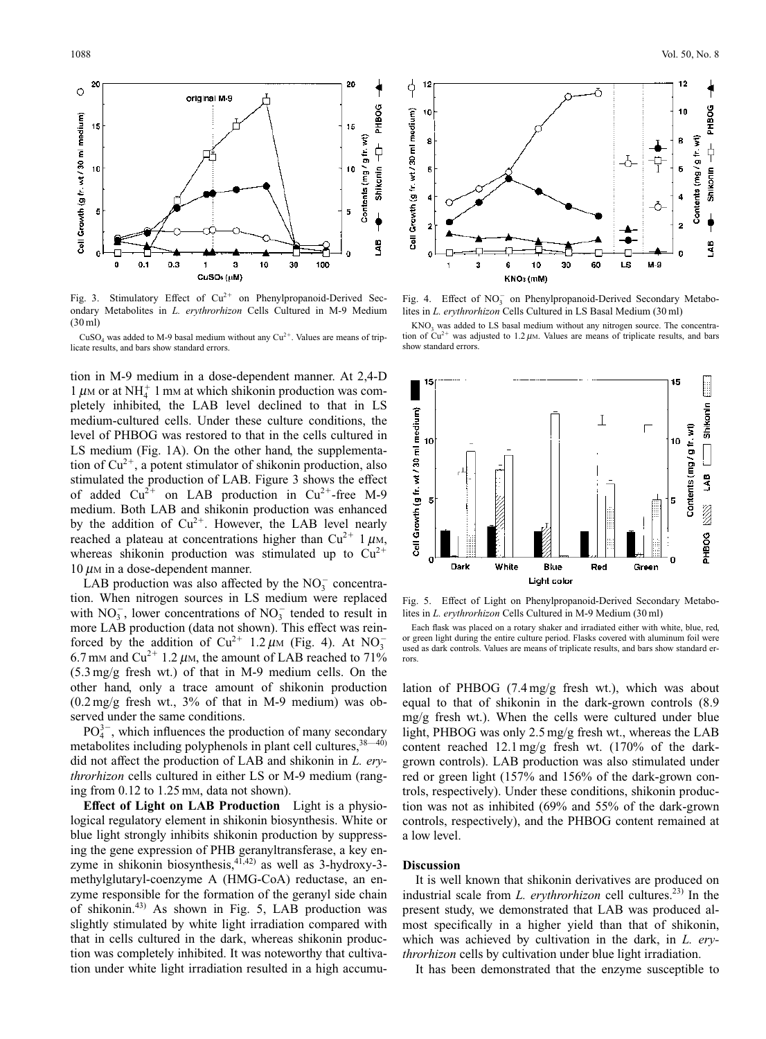

Fig. 3. Stimulatory Effect of  $Cu^{2+}$  on Phenylpropanoid-Derived Secondary Metabolites in *L. erythrorhizon* Cells Cultured in M-9 Medium (30 ml)



tion in M-9 medium in a dose-dependent manner. At 2,4-D  $1 \mu$ M or at NH<sub>4</sub><sup>+</sup> 1 mM at which shikonin production was completely inhibited, the LAB level declined to that in LS medium-cultured cells. Under these culture conditions, the level of PHBOG was restored to that in the cells cultured in LS medium (Fig. 1A). On the other hand, the supplementation of  $Cu^{2+}$ , a potent stimulator of shikonin production, also stimulated the production of LAB. Figure 3 shows the effect of added  $Cu^{2+}$  on LAB production in  $Cu^{2+}$ -free M-9 medium. Both LAB and shikonin production was enhanced by the addition of  $Cu^{2+}$ . However, the LAB level nearly reached a plateau at concentrations higher than  $Cu^{2+}$  1  $\mu$ M, whereas shikonin production was stimulated up to  $Cu^{2+}$  $10 \mu$ M in a dose-dependent manner.

LAB production was also affected by the  $NO_3^-$  concentration. When nitrogen sources in LS medium were replaced with  $NO<sub>3</sub>$ , lower concentrations of  $NO<sub>3</sub>$  tended to result in more LAB production (data not shown). This effect was reinforced by the addition of  $Cu^{2+}$  1.2  $\mu$ M (Fig. 4). At NO<sub>3</sub> 6.7 mm and Cu<sup>2+</sup> 1.2  $\mu$ m, the amount of LAB reached to 71% (5.3 mg/g fresh wt.) of that in M-9 medium cells. On the other hand, only a trace amount of shikonin production  $(0.2 \text{ mg/g}$  fresh wt.,  $3\%$  of that in M-9 medium) was observed under the same conditions.

 $PO_4^{3-}$ , which influences the production of many secondary metabolites including polyphenols in plant cell cultures,  $38-40$ ) did not affect the production of LAB and shikonin in *L. erythrorhizon* cells cultured in either LS or M-9 medium (ranging from 0.12 to 1.25 mm, data not shown).

**Effect of Light on LAB Production** Light is a physiological regulatory element in shikonin biosynthesis. White or blue light strongly inhibits shikonin production by suppressing the gene expression of PHB geranyltransferase, a key enzyme in shikonin biosynthesis,  $41,42$  as well as 3-hydroxy-3methylglutaryl-coenzyme A (HMG-CoA) reductase, an enzyme responsible for the formation of the geranyl side chain of shikonin.43) As shown in Fig. 5, LAB production was slightly stimulated by white light irradiation compared with that in cells cultured in the dark, whereas shikonin production was completely inhibited. It was noteworthy that cultivation under white light irradiation resulted in a high accumu-



Fig. 4. Effect of NO<sub>3</sub> on Phenylpropanoid-Derived Secondary Metabolites in *L. erythrorhizon* Cells Cultured in LS Basal Medium (30 ml)

 $KNO<sub>3</sub>$  was added to LS basal medium without any nitrogen source. The concentration of  $Cu^{2+}$  was adjusted to 1.2  $\mu$ m. Values are means of triplicate results, and bars show standard errors.



Fig. 5. Effect of Light on Phenylpropanoid-Derived Secondary Metabolites in *L. erythrorhizon* Cells Cultured in M-9 Medium (30 ml)

Each flask was placed on a rotary shaker and irradiated either with white, blue, red, or green light during the entire culture period. Flasks covered with aluminum foil were used as dark controls. Values are means of triplicate results, and bars show standard errors.

lation of PHBOG (7.4 mg/g fresh wt.), which was about equal to that of shikonin in the dark-grown controls (8.9 mg/g fresh wt.). When the cells were cultured under blue light, PHBOG was only 2.5 mg/g fresh wt., whereas the LAB content reached 12.1 mg/g fresh wt. (170% of the darkgrown controls). LAB production was also stimulated under red or green light (157% and 156% of the dark-grown controls, respectively). Under these conditions, shikonin production was not as inhibited (69% and 55% of the dark-grown controls, respectively), and the PHBOG content remained at a low level.

## **Discussion**

It is well known that shikonin derivatives are produced on industrial scale from *L. erythrorhizon* cell cultures.<sup>23)</sup> In the present study, we demonstrated that LAB was produced almost specifically in a higher yield than that of shikonin, which was achieved by cultivation in the dark, in *L. erythrorhizon* cells by cultivation under blue light irradiation.

It has been demonstrated that the enzyme susceptible to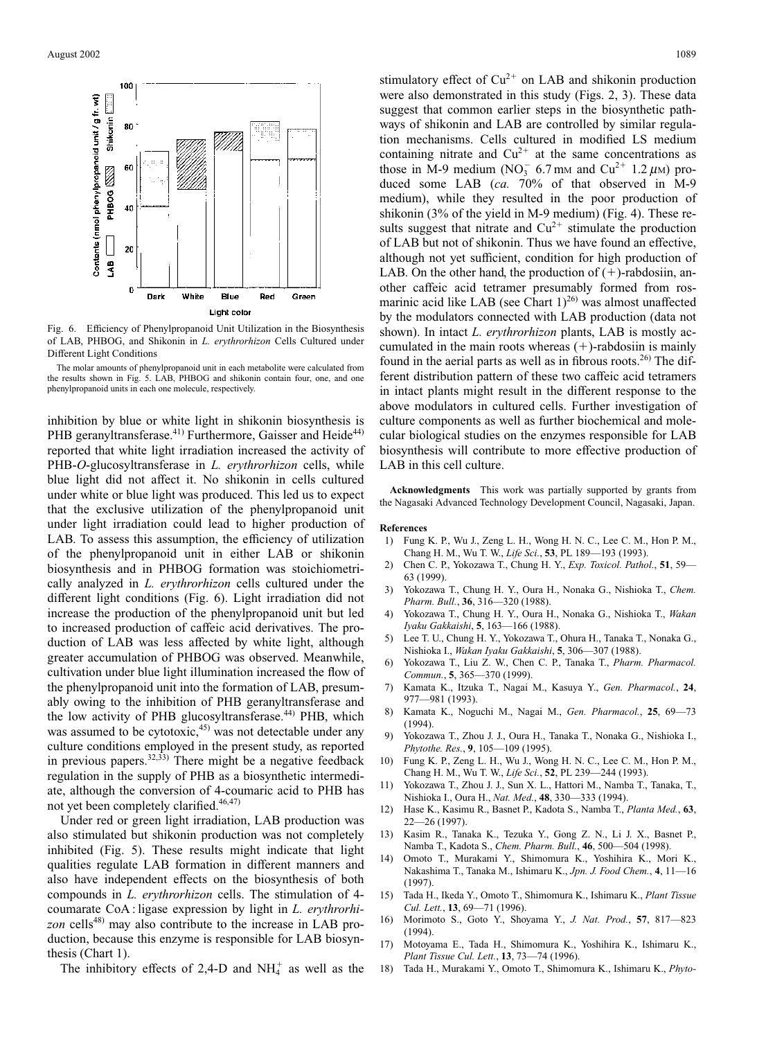

Fig. 6. Efficiency of Phenylpropanoid Unit Utilization in the Biosynthesis of LAB, PHBOG, and Shikonin in *L. erythrorhizon* Cells Cultured under Different Light Conditions

The molar amounts of phenylpropanoid unit in each metabolite were calculated from the results shown in Fig. 5. LAB, PHBOG and shikonin contain four, one, and one phenylpropanoid units in each one molecule, respectively.

inhibition by blue or white light in shikonin biosynthesis is PHB geranyltransferase.<sup>41)</sup> Furthermore, Gaisser and Heide<sup>44)</sup> reported that white light irradiation increased the activity of PHB-*O*-glucosyltransferase in *L. erythrorhizon* cells, while blue light did not affect it. No shikonin in cells cultured under white or blue light was produced. This led us to expect that the exclusive utilization of the phenylpropanoid unit under light irradiation could lead to higher production of LAB. To assess this assumption, the efficiency of utilization of the phenylpropanoid unit in either LAB or shikonin biosynthesis and in PHBOG formation was stoichiometrically analyzed in *L. erythrorhizon* cells cultured under the different light conditions (Fig. 6). Light irradiation did not increase the production of the phenylpropanoid unit but led to increased production of caffeic acid derivatives. The production of LAB was less affected by white light, although greater accumulation of PHBOG was observed. Meanwhile, cultivation under blue light illumination increased the flow of the phenylpropanoid unit into the formation of LAB, presumably owing to the inhibition of PHB geranyltransferase and the low activity of PHB glucosyltransferase.<sup>44)</sup> PHB, which was assumed to be cytotoxic, $45$  was not detectable under any culture conditions employed in the present study, as reported in previous papers.<sup>32,33</sup> There might be a negative feedback regulation in the supply of PHB as a biosynthetic intermediate, although the conversion of 4-coumaric acid to PHB has not yet been completely clarified.46,47)

Under red or green light irradiation, LAB production was also stimulated but shikonin production was not completely inhibited (Fig. 5). These results might indicate that light qualities regulate LAB formation in different manners and also have independent effects on the biosynthesis of both compounds in *L. erythrorhizon* cells. The stimulation of 4 coumarate CoA : ligase expression by light in *L. erythrorhi*zon cells<sup>48)</sup> may also contribute to the increase in LAB production, because this enzyme is responsible for LAB biosynthesis (Chart 1).

The inhibitory effects of 2,4-D and  $NH_4^+$  as well as the

stimulatory effect of  $Cu^{2+}$  on LAB and shikonin production were also demonstrated in this study (Figs. 2, 3). These data suggest that common earlier steps in the biosynthetic pathways of shikonin and LAB are controlled by similar regulation mechanisms. Cells cultured in modified LS medium containing nitrate and  $Cu^{2+}$  at the same concentrations as those in M-9 medium ( $NO<sub>3</sub>$  6.7 mm and  $Cu<sup>2+</sup>$  1.2  $\mu$ m) produced some LAB (*ca.* 70% of that observed in M-9 medium), while they resulted in the poor production of shikonin (3% of the yield in M-9 medium) (Fig. 4). These results suggest that nitrate and  $Cu^{2+}$  stimulate the production of LAB but not of shikonin. Thus we have found an effective, although not yet sufficient, condition for high production of LAB. On the other hand, the production of  $(+)$ -rabdosiin, another caffeic acid tetramer presumably formed from rosmarinic acid like LAB (see Chart  $1)^{26}$ ) was almost unaffected by the modulators connected with LAB production (data not shown). In intact *L. erythrorhizon* plants, LAB is mostly accumulated in the main roots whereas  $(+)$ -rabdosiin is mainly found in the aerial parts as well as in fibrous roots.<sup>26)</sup> The different distribution pattern of these two caffeic acid tetramers in intact plants might result in the different response to the above modulators in cultured cells. Further investigation of culture components as well as further biochemical and molecular biological studies on the enzymes responsible for LAB biosynthesis will contribute to more effective production of LAB in this cell culture.

**Acknowledgments** This work was partially supported by grants from the Nagasaki Advanced Technology Development Council, Nagasaki, Japan.

#### **References**

- 1) Fung K. P., Wu J., Zeng L. H., Wong H. N. C., Lee C. M., Hon P. M., Chang H. M., Wu T. W., *Life Sci.*, **53**, PL 189—193 (1993).
- 2) Chen C. P., Yokozawa T., Chung H. Y., *Exp. Toxicol. Pathol.*, **51**, 59— 63 (1999).
- 3) Yokozawa T., Chung H. Y., Oura H., Nonaka G., Nishioka T., *Chem. Pharm. Bull.*, **36**, 316—320 (1988).
- 4) Yokozawa T., Chung H. Y., Oura H., Nonaka G., Nishioka T., *Wakan Iyaku Gakkaishi*, **5**, 163—166 (1988).
- 5) Lee T. U., Chung H. Y., Yokozawa T., Ohura H., Tanaka T., Nonaka G., Nishioka I., *Wakan Iyaku Gakkaishi*, **5**, 306—307 (1988).
- 6) Yokozawa T., Liu Z. W., Chen C. P., Tanaka T., *Pharm. Pharmacol. Commun.*, **5**, 365—370 (1999).
- 7) Kamata K., Itzuka T., Nagai M., Kasuya Y., *Gen. Pharmacol.*, **24**, 977—981 (1993).
- 8) Kamata K., Noguchi M., Nagai M., *Gen. Pharmacol.*, **25**, 69—73 (1994).
- 9) Yokozawa T., Zhou J. J., Oura H., Tanaka T., Nonaka G., Nishioka I., *Phytothe. Res.*, **9**, 105—109 (1995).
- 10) Fung K. P., Zeng L. H., Wu J., Wong H. N. C., Lee C. M., Hon P. M., Chang H. M., Wu T. W., *Life Sci.*, **52**, PL 239—244 (1993).
- 11) Yokozawa T., Zhou J. J., Sun X. L., Hattori M., Namba T., Tanaka, T., Nishioka I., Oura H., *Nat. Med.*, **48**, 330—333 (1994).
- 12) Hase K., Kasimu R., Basnet P., Kadota S., Namba T., *Planta Med.*, **63**, 22—26 (1997).
- 13) Kasim R., Tanaka K., Tezuka Y., Gong Z. N., Li J. X., Basnet P., Namba T., Kadota S., *Chem. Pharm. Bull.*, **46**, 500—504 (1998).
- 14) Omoto T., Murakami Y., Shimomura K., Yoshihira K., Mori K., Nakashima T., Tanaka M., Ishimaru K., *Jpn. J. Food Chem.*, **4**, 11—16 (1997).
- 15) Tada H., Ikeda Y., Omoto T., Shimomura K., Ishimaru K., *Plant Tissue Cul. Lett.*, **13**, 69—71 (1996).
- 16) Morimoto S., Goto Y., Shoyama Y., *J. Nat. Prod.*, **57**, 817—823 (1994).
- 17) Motoyama E., Tada H., Shimomura K., Yoshihira K., Ishimaru K., *Plant Tissue Cul. Lett.*, **13**, 73—74 (1996).
- 18) Tada H., Murakami Y., Omoto T., Shimomura K., Ishimaru K., *Phyto-*